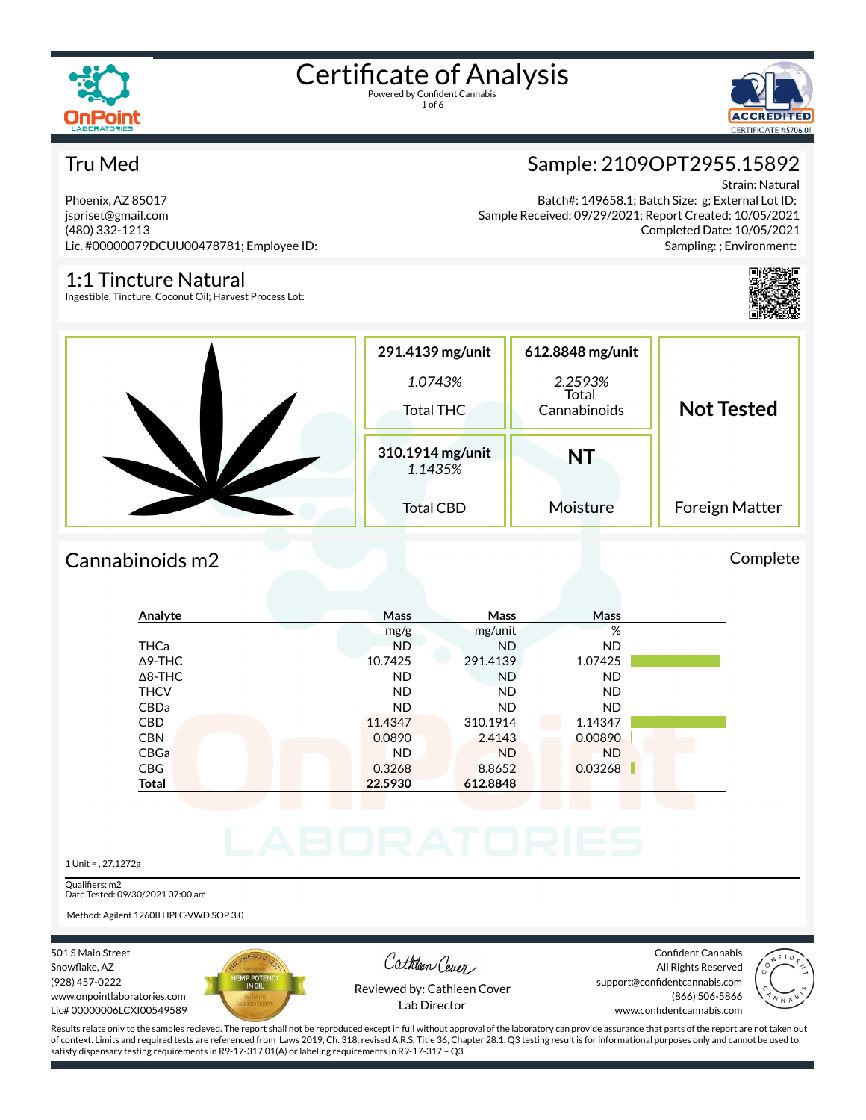



#### Tru Med

Phoenix, AZ 85017 jspriset@gmail.com (480) 332-1213 Lic. #00000079DCUU00478781; Employee ID:

#### 1:1 Tincture Natural

Ingestible, Tincture, Coconut Oil; Harvest Process Lot:

Sample: 2109OPT2955.15892

Strain: Natural Batch#: 149658.1; Batch Size: g; External Lot ID: Sample Received: 09/29/2021; Report Created: 10/05/2021 Completed Date: 10/05/2021 Sampling: ; Environment:



| 291.4139 mg/unit<br>1.0743%<br><b>Total THC</b> | 612.8848 mg/unit<br>2.2593%<br>Total<br>Cannabinoids | <b>Not Tested</b> |
|-------------------------------------------------|------------------------------------------------------|-------------------|
| 310.1914 mg/unit<br>1.1435%                     | <b>NT</b>                                            |                   |
| <b>Total CBD</b>                                | Moisture                                             | Foreign Matter    |

#### Cannabinoids m2 Complete

| Analyte        | <b>Mass</b> | Mass      | Mass      |  |
|----------------|-------------|-----------|-----------|--|
|                | mg/g        | mg/unit   | %         |  |
| <b>THCa</b>    | <b>ND</b>   | <b>ND</b> | <b>ND</b> |  |
| $\Delta$ 9-THC | 10.7425     | 291.4139  | 1.07425   |  |
| $\Delta$ 8-THC | <b>ND</b>   | <b>ND</b> | <b>ND</b> |  |
| <b>THCV</b>    | <b>ND</b>   | <b>ND</b> | <b>ND</b> |  |
| CBDa           | <b>ND</b>   | <b>ND</b> | <b>ND</b> |  |
| <b>CBD</b>     | 11.4347     | 310.1914  | 1.14347   |  |
| <b>CBN</b>     | 0.0890      | 2.4143    | 0.00890   |  |
| CBGa           | <b>ND</b>   | <b>ND</b> | <b>ND</b> |  |
| <b>CBG</b>     | 0.3268      | 8.8652    | 0.03268   |  |
| <b>Total</b>   | 22.5930     | 612.8848  |           |  |

1 Unit = , 27.1272g

Qualifiers: m2 Date Tested: 09/30/2021 07:00 am

Method: Agilent 1260II HPLC-VWD SOP 3.0

501 S Main Street Snowflake, AZ (928) 457-0222 www.onpointlaboratories.com Lic# 00000006LCXI00549589



Cathleen Cover

Confident Cannabis All Rights Reserved support@confidentcannabis.com (866) 506-5866



Reviewed by: Cathleen Cover Lab Director

www.confidentcannabis.com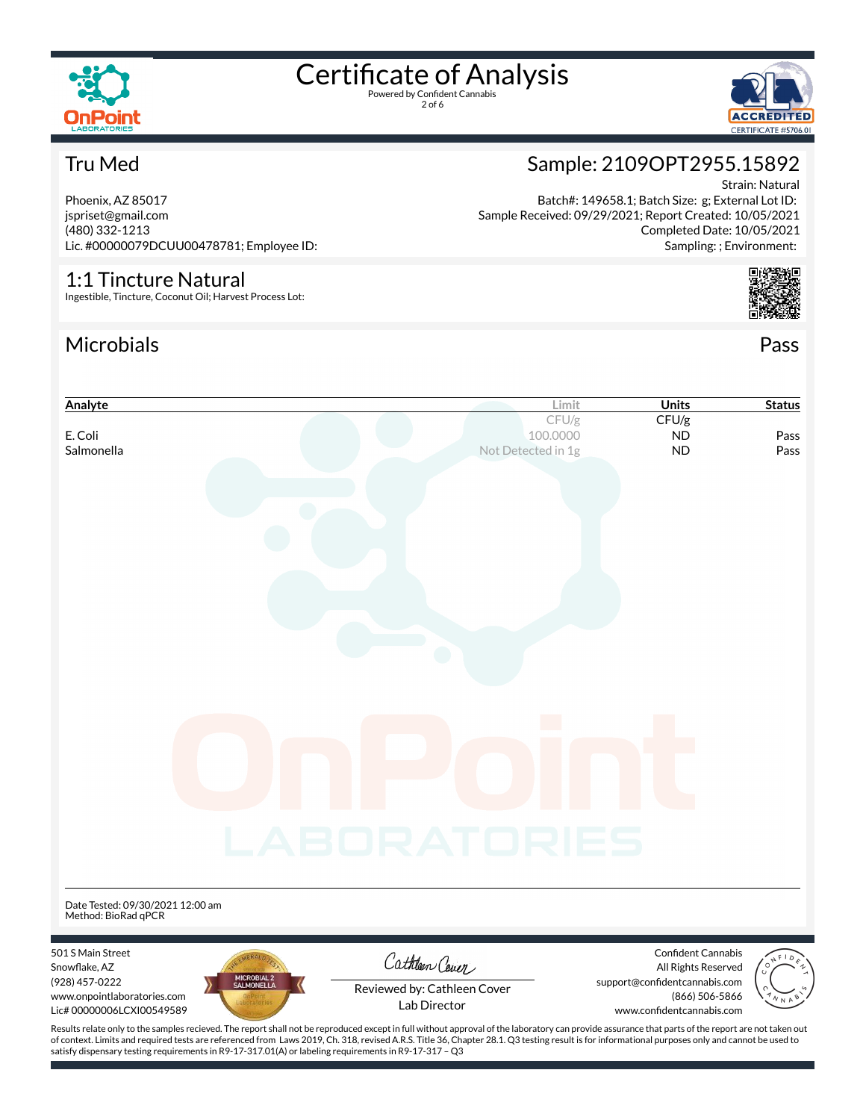



#### Tru Med

Phoenix, AZ 85017 jspriset@gmail.com (480) 332-1213 Lic. #00000079DCUU00478781; Employee ID:

#### 1:1 Tincture Natural

Ingestible, Tincture, Coconut Oil; Harvest Process Lot:

### Microbials Pass





Strain: Natural Batch#: 149658.1; Batch Size: g; External Lot ID: Sample Received: 09/29/2021; Report Created: 10/05/2021

Sample: 2109OPT2955.15892

Completed Date: 10/05/2021 Sampling: ; Environment:

of context. Limits and required tests are referenced from Laws 2019, Ch. 318, revised A.R.S. Title 36, Chapter 28.1. Q3 testing result is for informational purposes only and cannot be used to satisfy dispensary testing requirements in R9-17-317.01(A) or labeling requirements in R9-17-317 – Q3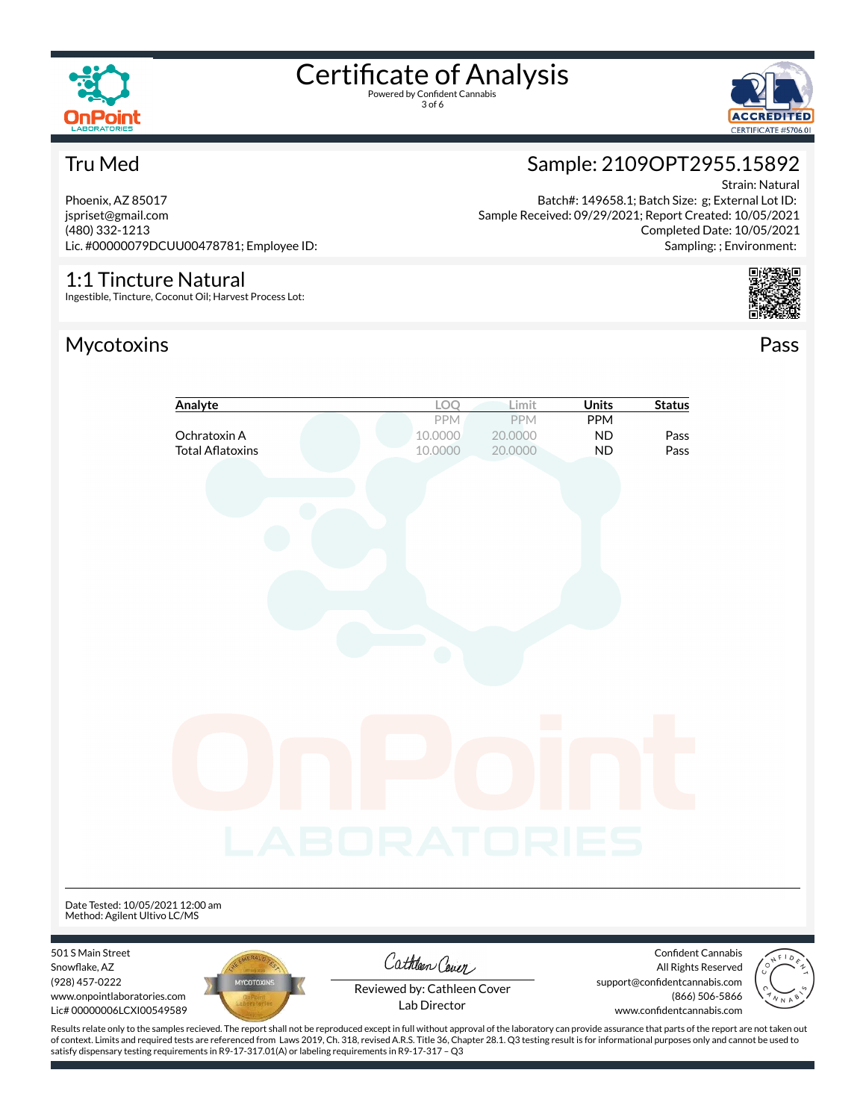

3 of 6





#### Tru Med

Phoenix, AZ 85017 jspriset@gmail.com (480) 332-1213 Lic. #00000079DCUU00478781; Employee ID:

#### 1:1 Tincture Natural

Ingestible, Tincture, Coconut Oil; Harvest Process Lot:

#### Mycotoxins Pass



Strain: Natural Batch#: 149658.1; Batch Size: g; External Lot ID: Sample Received: 09/29/2021; Report Created: 10/05/2021 Completed Date: 10/05/2021 Sampling: ; Environment:



|                                                                            | Analyte                                 | LOQ                                         | Limit                            | <b>Units</b>                         | <b>Status</b>                                                                |  |
|----------------------------------------------------------------------------|-----------------------------------------|---------------------------------------------|----------------------------------|--------------------------------------|------------------------------------------------------------------------------|--|
|                                                                            | Ochratoxin A<br><b>Total Aflatoxins</b> | PPM<br>10.0000<br>10.0000                   | <b>PPM</b><br>20.0000<br>20.0000 | <b>PPM</b><br><b>ND</b><br><b>ND</b> | Pass<br>Pass                                                                 |  |
|                                                                            |                                         |                                             |                                  |                                      |                                                                              |  |
|                                                                            |                                         |                                             |                                  |                                      |                                                                              |  |
|                                                                            |                                         |                                             |                                  |                                      |                                                                              |  |
|                                                                            |                                         |                                             |                                  |                                      |                                                                              |  |
|                                                                            |                                         |                                             | $\mathcal{L}_{\mathcal{A}}$      |                                      |                                                                              |  |
|                                                                            |                                         |                                             |                                  |                                      |                                                                              |  |
|                                                                            |                                         |                                             |                                  |                                      |                                                                              |  |
|                                                                            |                                         | LABORATORIES                                |                                  |                                      |                                                                              |  |
| Date Tested: 10/05/2021 12:00 am<br>Method: Agilent Ultivo LC/MS           |                                         |                                             |                                  |                                      |                                                                              |  |
| 501 S Main Street<br>Snowflake, AZ                                         |                                         | Cathleen Cover                              |                                  |                                      | Confident Cannabis<br>All Rights Reserved                                    |  |
| (928) 457-0222<br>www.onpointlaboratories.com<br>Lic# 00000006LCXI00549589 | <b>MYCOTOXINS</b>                       | Reviewed by: Cathleen Cover<br>Lab Director |                                  |                                      | support@confidentcannabis.com<br>(866) 506-5866<br>www.confidentcannabis.com |  |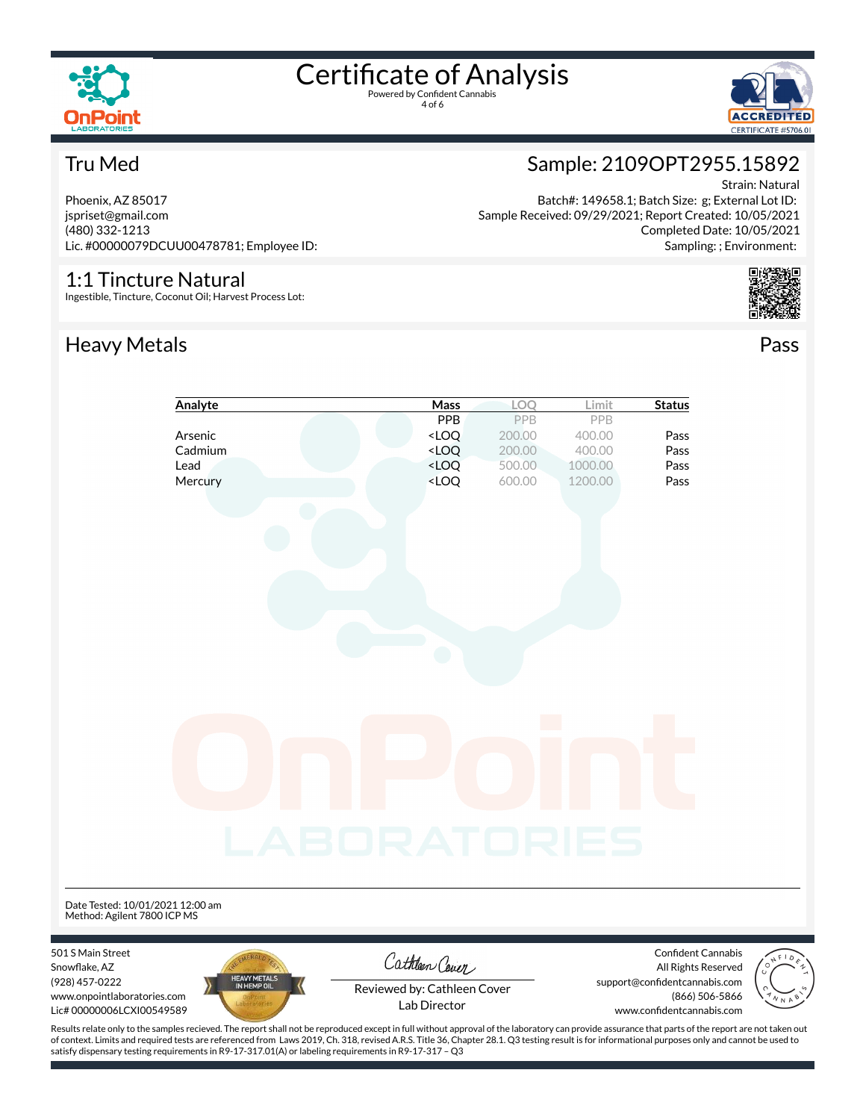

4 of 6



#### Tru Med

Phoenix, AZ 85017 jspriset@gmail.com (480) 332-1213 Lic. #00000079DCUU00478781; Employee ID:

#### 1:1 Tincture Natural

Ingestible, Tincture, Coconut Oil; Harvest Process Lot:

### Heavy Metals **Pass**



Batch#: 149658.1; Batch Size: g; External Lot ID: Sample Received: 09/29/2021; Report Created: 10/05/2021 Completed Date: 10/05/2021 Sampling: ; Environment:



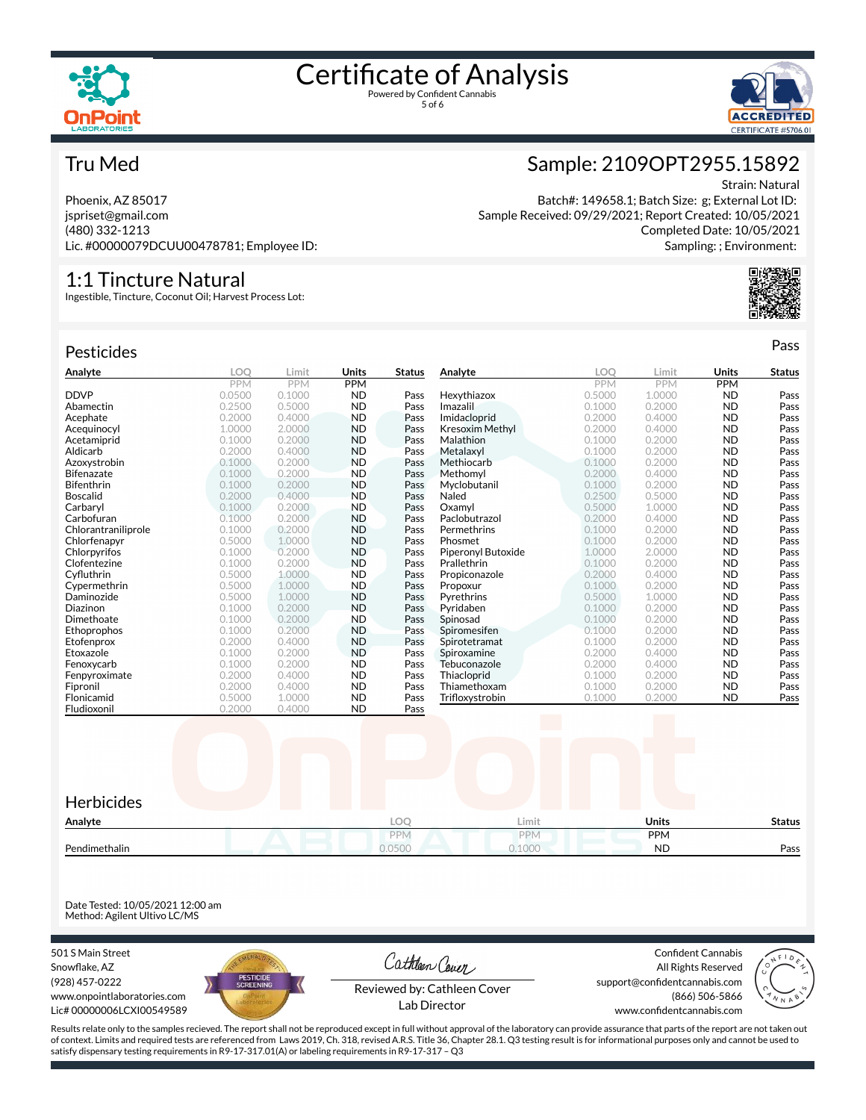





#### Tru Med

Phoenix, AZ 85017 jspriset@gmail.com (480) 332-1213 Lic. #00000079DCUU00478781; Employee ID:

#### 1:1 Tincture Natural

Ingestible, Tincture, Coconut Oil; Harvest Process Lot:

| Pesticides          |            |            |            |               |                        |            |            |              | Pass          |
|---------------------|------------|------------|------------|---------------|------------------------|------------|------------|--------------|---------------|
| Analyte             | <b>LOO</b> | Limit      | Units      | <b>Status</b> | Analyte                | <b>LOO</b> | Limit      | <b>Units</b> | <b>Status</b> |
|                     | <b>PPM</b> | <b>PPM</b> | <b>PPM</b> |               |                        | <b>PPM</b> | <b>PPM</b> | <b>PPM</b>   |               |
| <b>DDVP</b>         | 0.0500     | 0.1000     | <b>ND</b>  | Pass          | Hexythiazox            | 0.5000     | 1.0000     | <b>ND</b>    | Pass          |
| Abamectin           | 0.2500     | 0.5000     | <b>ND</b>  | Pass          | Imazalil               | 0.1000     | 0.2000     | <b>ND</b>    | Pass          |
| Acephate            | 0.2000     | 0.4000     | <b>ND</b>  | Pass          | Imidacloprid           | 0.2000     | 0.4000     | <b>ND</b>    | Pass          |
| Acequinocyl         | 1.0000     | 2.0000     | <b>ND</b>  | Pass          | <b>Kresoxim Methyl</b> | 0.2000     | 0.4000     | <b>ND</b>    | Pass          |
| Acetamiprid         | 0.1000     | 0.2000     | <b>ND</b>  | Pass          | Malathion              | 0.1000     | 0.2000     | <b>ND</b>    | Pass          |
| Aldicarb            | 0.2000     | 0.4000     | <b>ND</b>  | Pass          | Metalaxyl              | 0.1000     | 0.2000     | <b>ND</b>    | Pass          |
| Azoxystrobin        | 0.1000     | 0.2000     | <b>ND</b>  | Pass          | Methiocarb             | 0.1000     | 0.2000     | <b>ND</b>    | Pass          |
| <b>Bifenazate</b>   | 0.1000     | 0.2000     | <b>ND</b>  | Pass          | Methomyl               | 0.2000     | 0.4000     | <b>ND</b>    | Pass          |
| Bifenthrin          | 0.1000     | 0.2000     | <b>ND</b>  | Pass          | Myclobutanil           | 0.1000     | 0.2000     | <b>ND</b>    | Pass          |
| <b>Boscalid</b>     | 0.2000     | 0.4000     | <b>ND</b>  | Pass          | Naled                  | 0.2500     | 0.5000     | <b>ND</b>    | Pass          |
| Carbaryl            | 0.1000     | 0.2000     | <b>ND</b>  | Pass          | Oxamvl                 | 0.5000     | 1.0000     | <b>ND</b>    | Pass          |
| Carbofuran          | 0.1000     | 0.2000     | <b>ND</b>  | Pass          | Paclobutrazol          | 0.2000     | 0.4000     | <b>ND</b>    | Pass          |
| Chlorantraniliprole | 0.1000     | 0.2000     | <b>ND</b>  | Pass          | Permethrins            | 0.1000     | 0.2000     | <b>ND</b>    | Pass          |
| Chlorfenapyr        | 0.5000     | 1.0000     | <b>ND</b>  | Pass          | Phosmet                | 0.1000     | 0.2000     | <b>ND</b>    | Pass          |
| Chlorpyrifos        | 0.1000     | 0.2000     | <b>ND</b>  | Pass          | Piperonyl Butoxide     | 1.0000     | 2.0000     | <b>ND</b>    | Pass          |
| Clofentezine        | 0.1000     | 0.2000     | <b>ND</b>  | Pass          | Prallethrin            | 0.1000     | 0.2000     | <b>ND</b>    | Pass          |
| Cyfluthrin          | 0.5000     | 1.0000     | <b>ND</b>  | Pass          | Propiconazole          | 0.2000     | 0.4000     | <b>ND</b>    | Pass          |
| Cypermethrin        | 0.5000     | 1.0000     | <b>ND</b>  | Pass          | Propoxur               | 0.1000     | 0.2000     | <b>ND</b>    | Pass          |
| Daminozide          | 0.5000     | 1.0000     | <b>ND</b>  | Pass          | Pyrethrins             | 0.5000     | 1.0000     | <b>ND</b>    | Pass          |
| Diazinon            | 0.1000     | 0.2000     | <b>ND</b>  | Pass          | Pyridaben              | 0.1000     | 0.2000     | <b>ND</b>    | Pass          |
| Dimethoate          | 0.1000     | 0.2000     | <b>ND</b>  | Pass          | Spinosad               | 0.1000     | 0.2000     | <b>ND</b>    | Pass          |
| Ethoprophos         | 0.1000     | 0.2000     | <b>ND</b>  | Pass          | Spiromesifen           | 0.1000     | 0.2000     | <b>ND</b>    | Pass          |
| Etofenprox          | 0.2000     | 0.4000     | <b>ND</b>  | Pass          | Spirotetramat          | 0.1000     | 0.2000     | <b>ND</b>    | Pass          |
| Etoxazole           | 0.1000     | 0.2000     | <b>ND</b>  | Pass          | Spiroxamine            | 0.2000     | 0.4000     | <b>ND</b>    | Pass          |
| Fenoxycarb          | 0.1000     | 0.2000     | <b>ND</b>  | Pass          | Tebuconazole           | 0.2000     | 0.4000     | <b>ND</b>    | Pass          |
| Fenpyroximate       | 0.2000     | 0.4000     | <b>ND</b>  | Pass          | Thiacloprid            | 0.1000     | 0.2000     | <b>ND</b>    | Pass          |
| Fipronil            | 0.2000     | 0.4000     | <b>ND</b>  | Pass          | Thiamethoxam           | 0.1000     | 0.2000     | <b>ND</b>    | Pass          |
| Flonicamid          | 0.5000     | 1.0000     | <b>ND</b>  | Pass          | Trifloxystrobin        | 0.1000     | 0.2000     | <b>ND</b>    | Pass          |
| Fludioxonil         | 0.2000     | 0.4000     | <b>ND</b>  | Pass          |                        |            |            |              |               |



Date Tested: 10/05/2021 12:00 am Method: Agilent Ultivo LC/MS

501 S Main Street Snowflake, AZ (928) 457-0222 www.onpointlaboratories.com Lic# 00000006LCXI00549589



Cathleen Cover

Confident Cannabis All Rights Reserved support@confidentcannabis.com (866) 506-5866



Reviewed by: Cathleen Cover Lab Director

www.confidentcannabis.com

Results relate only to the samples recieved. The report shall not be reproduced except in full without approval of the laboratory can provide assurance that parts of the report are not taken out of context. Limits and required tests are referenced from Laws 2019, Ch. 318, revised A.R.S. Title 36, Chapter 28.1. Q3 testing result is for informational purposes only and cannot be used to satisfy dispensary testing requirements in R9-17-317.01(A) or labeling requirements in R9-17-317 – Q3

#### Sample: 2109OPT2955.15892 Strain: Natural

Batch#: 149658.1; Batch Size: g; External Lot ID: Sample Received: 09/29/2021; Report Created: 10/05/2021 Completed Date: 10/05/2021 Sampling: ; Environment: